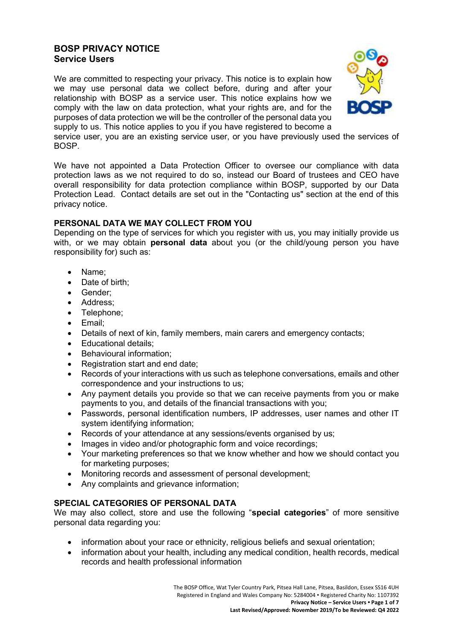# **BOSP PRIVACY NOTICE Service Users**

We are committed to respecting your privacy. This notice is to explain how we may use personal data we collect before, during and after your relationship with BOSP as a service user. This notice explains how we comply with the law on data protection, what your rights are, and for the purposes of data protection we will be the controller of the personal data you supply to us. This notice applies to you if you have registered to become a



service user, you are an existing service user, or you have previously used the services of BOSP.

We have not appointed a Data Protection Officer to oversee our compliance with data protection laws as we not required to do so, instead our Board of trustees and CEO have overall responsibility for data protection compliance within BOSP, supported by our Data Protection Lead. Contact details are set out in the "Contacting us" section at the end of this privacy notice.

## **PERSONAL DATA WE MAY COLLECT FROM YOU**

Depending on the type of services for which you register with us, you may initially provide us with, or we may obtain **personal data** about you (or the child/young person you have responsibility for) such as:

- Name;
- Date of birth:
- Gender;
- Address;
- Telephone;
- Email;
- Details of next of kin, family members, main carers and emergency contacts;
- Educational details;
- Behavioural information;
- Registration start and end date:
- Records of your interactions with us such as telephone conversations, emails and other correspondence and your instructions to us;
- Any payment details you provide so that we can receive payments from you or make payments to you, and details of the financial transactions with you;
- Passwords, personal identification numbers, IP addresses, user names and other IT system identifying information;
- Records of your attendance at any sessions/events organised by us:
- Images in video and/or photographic form and voice recordings:
- Your marketing preferences so that we know whether and how we should contact you for marketing purposes;
- Monitoring records and assessment of personal development;
- Any complaints and grievance information;

## **SPECIAL CATEGORIES OF PERSONAL DATA**

We may also collect, store and use the following "**special categories**" of more sensitive personal data regarding you:

- information about your race or ethnicity, religious beliefs and sexual orientation;
- information about your health, including any medical condition, health records, medical records and health professional information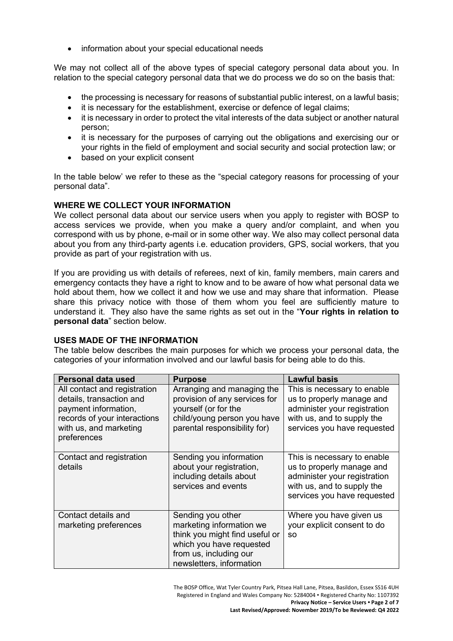• information about your special educational needs

We may not collect all of the above types of special category personal data about you. In relation to the special category personal data that we do process we do so on the basis that:

- the processing is necessary for reasons of substantial public interest, on a lawful basis;
- it is necessary for the establishment, exercise or defence of legal claims;
- it is necessary in order to protect the vital interests of the data subject or another natural person;
- it is necessary for the purposes of carrying out the obligations and exercising our or your rights in the field of employment and social security and social protection law; or
- based on your explicit consent

In the table below' we refer to these as the "special category reasons for processing of your personal data".

## **WHERE WE COLLECT YOUR INFORMATION**

We collect personal data about our service users when you apply to register with BOSP to access services we provide, when you make a query and/or complaint, and when you correspond with us by phone, e-mail or in some other way. We also may collect personal data about you from any third-party agents i.e. education providers, GPS, social workers, that you provide as part of your registration with us.

If you are providing us with details of referees, next of kin, family members, main carers and emergency contacts they have a right to know and to be aware of how what personal data we hold about them, how we collect it and how we use and may share that information. Please share this privacy notice with those of them whom you feel are sufficiently mature to understand it. They also have the same rights as set out in the "**Your rights in relation to personal data**" section below.

## **USES MADE OF THE INFORMATION**

The table below describes the main purposes for which we process your personal data, the categories of your information involved and our lawful basis for being able to do this.

| Personal data used                                                                                                                                        | <b>Purpose</b>                                                                                                                                                    | <b>Lawful basis</b>                                                                                                                                   |
|-----------------------------------------------------------------------------------------------------------------------------------------------------------|-------------------------------------------------------------------------------------------------------------------------------------------------------------------|-------------------------------------------------------------------------------------------------------------------------------------------------------|
| All contact and registration<br>details, transaction and<br>payment information,<br>records of your interactions<br>with us, and marketing<br>preferences | Arranging and managing the<br>provision of any services for<br>yourself (or for the<br>child/young person you have<br>parental responsibility for)                | This is necessary to enable<br>us to properly manage and<br>administer your registration<br>with us, and to supply the<br>services you have requested |
| Contact and registration<br>details                                                                                                                       | Sending you information<br>about your registration,<br>including details about<br>services and events                                                             | This is necessary to enable<br>us to properly manage and<br>administer your registration<br>with us, and to supply the<br>services you have requested |
| Contact details and<br>marketing preferences                                                                                                              | Sending you other<br>marketing information we<br>think you might find useful or<br>which you have requested<br>from us, including our<br>newsletters, information | Where you have given us<br>your explicit consent to do<br><b>SO</b>                                                                                   |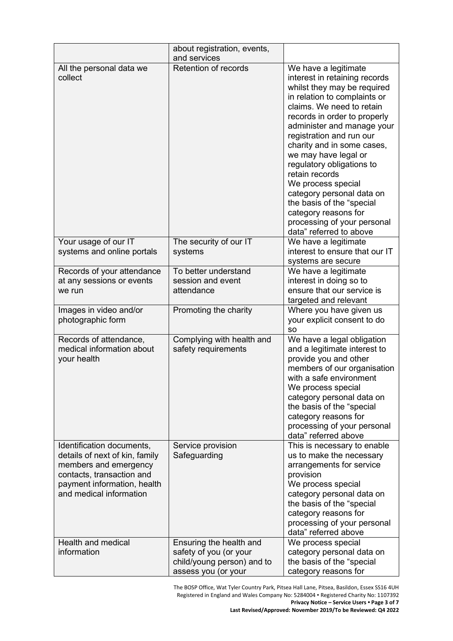|                                                                                                                                                                             | about registration, events,<br>and services                                                            |                                                                                                                                                                                                                                                                                                                                                                                                                                                                                                                    |
|-----------------------------------------------------------------------------------------------------------------------------------------------------------------------------|--------------------------------------------------------------------------------------------------------|--------------------------------------------------------------------------------------------------------------------------------------------------------------------------------------------------------------------------------------------------------------------------------------------------------------------------------------------------------------------------------------------------------------------------------------------------------------------------------------------------------------------|
| All the personal data we<br>collect                                                                                                                                         | Retention of records                                                                                   | We have a legitimate<br>interest in retaining records<br>whilst they may be required<br>in relation to complaints or<br>claims. We need to retain<br>records in order to properly<br>administer and manage your<br>registration and run our<br>charity and in some cases,<br>we may have legal or<br>regulatory obligations to<br>retain records<br>We process special<br>category personal data on<br>the basis of the "special<br>category reasons for<br>processing of your personal<br>data" referred to above |
| Your usage of our IT<br>systems and online portals                                                                                                                          | The security of our IT<br>systems                                                                      | We have a legitimate<br>interest to ensure that our IT<br>systems are secure                                                                                                                                                                                                                                                                                                                                                                                                                                       |
| Records of your attendance<br>at any sessions or events<br>we run                                                                                                           | To better understand<br>session and event<br>attendance                                                | We have a legitimate<br>interest in doing so to<br>ensure that our service is<br>targeted and relevant                                                                                                                                                                                                                                                                                                                                                                                                             |
| Images in video and/or<br>photographic form                                                                                                                                 | Promoting the charity                                                                                  | Where you have given us<br>your explicit consent to do<br><b>SO</b>                                                                                                                                                                                                                                                                                                                                                                                                                                                |
| Records of attendance,<br>medical information about<br>your health                                                                                                          | Complying with health and<br>safety requirements                                                       | We have a legal obligation<br>and a legitimate interest to<br>provide you and other<br>members of our organisation<br>with a safe environment<br>We process special<br>category personal data on<br>the basis of the "special<br>category reasons for<br>processing of your personal<br>data" referred above                                                                                                                                                                                                       |
| Identification documents,<br>details of next of kin, family<br>members and emergency<br>contacts, transaction and<br>payment information, health<br>and medical information | Service provision<br>Safeguarding                                                                      | This is necessary to enable<br>us to make the necessary<br>arrangements for service<br>provision<br>We process special<br>category personal data on<br>the basis of the "special<br>category reasons for<br>processing of your personal<br>data" referred above                                                                                                                                                                                                                                                    |
| Health and medical<br>information                                                                                                                                           | Ensuring the health and<br>safety of you (or your<br>child/young person) and to<br>assess you (or your | We process special<br>category personal data on<br>the basis of the "special<br>category reasons for                                                                                                                                                                                                                                                                                                                                                                                                               |

The BOSP Office, Wat Tyler Country Park, Pitsea Hall Lane, Pitsea, Basildon, Essex SS16 4UH Registered in England and Wales Company No: 5284004 • Registered Charity No: 1107392 **Privacy Notice – Service Users • Page 3 of 7 Last Revised/Approved: November 2019/To be Reviewed: Q4 2022**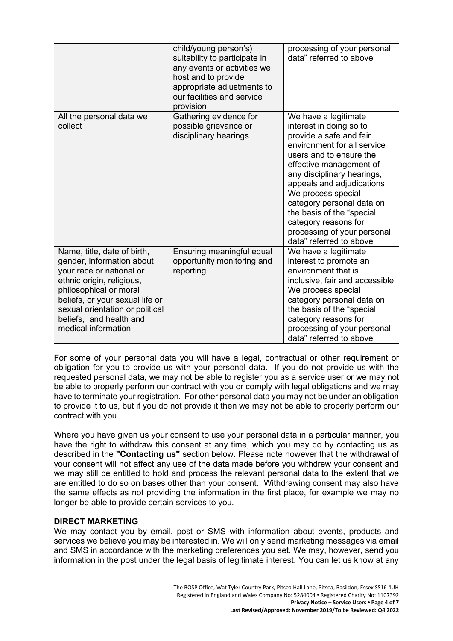|                                                                                                                                                                                                                                                                     | child/young person's)<br>suitability to participate in<br>any events or activities we<br>host and to provide<br>appropriate adjustments to<br>our facilities and service<br>provision | processing of your personal<br>data" referred to above                                                                                                                                                                                                                                                                                                                                       |
|---------------------------------------------------------------------------------------------------------------------------------------------------------------------------------------------------------------------------------------------------------------------|---------------------------------------------------------------------------------------------------------------------------------------------------------------------------------------|----------------------------------------------------------------------------------------------------------------------------------------------------------------------------------------------------------------------------------------------------------------------------------------------------------------------------------------------------------------------------------------------|
| All the personal data we<br>collect                                                                                                                                                                                                                                 | Gathering evidence for<br>possible grievance or<br>disciplinary hearings                                                                                                              | We have a legitimate<br>interest in doing so to<br>provide a safe and fair<br>environment for all service<br>users and to ensure the<br>effective management of<br>any disciplinary hearings,<br>appeals and adjudications<br>We process special<br>category personal data on<br>the basis of the "special<br>category reasons for<br>processing of your personal<br>data" referred to above |
| Name, title, date of birth,<br>gender, information about<br>your race or national or<br>ethnic origin, religious,<br>philosophical or moral<br>beliefs, or your sexual life or<br>sexual orientation or political<br>beliefs, and health and<br>medical information | Ensuring meaningful equal<br>opportunity monitoring and<br>reporting                                                                                                                  | We have a legitimate<br>interest to promote an<br>environment that is<br>inclusive, fair and accessible<br>We process special<br>category personal data on<br>the basis of the "special<br>category reasons for<br>processing of your personal<br>data" referred to above                                                                                                                    |

For some of your personal data you will have a legal, contractual or other requirement or obligation for you to provide us with your personal data. If you do not provide us with the requested personal data, we may not be able to register you as a service user or we may not be able to properly perform our contract with you or comply with legal obligations and we may have to terminate your registration. For other personal data you may not be under an obligation to provide it to us, but if you do not provide it then we may not be able to properly perform our contract with you.

Where you have given us your consent to use your personal data in a particular manner, you have the right to withdraw this consent at any time, which you may do by contacting us as described in the **"Contacting us"** section below. Please note however that the withdrawal of your consent will not affect any use of the data made before you withdrew your consent and we may still be entitled to hold and process the relevant personal data to the extent that we are entitled to do so on bases other than your consent. Withdrawing consent may also have the same effects as not providing the information in the first place, for example we may no longer be able to provide certain services to you.

## **DIRECT MARKETING**

We may contact you by email, post or SMS with information about events, products and services we believe you may be interested in. We will only send marketing messages via email and SMS in accordance with the marketing preferences you set. We may, however, send you information in the post under the legal basis of legitimate interest. You can let us know at any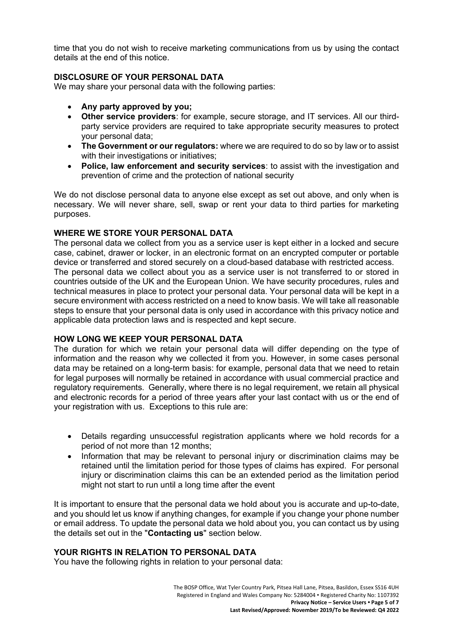time that you do not wish to receive marketing communications from us by using the contact details at the end of this notice.

## **DISCLOSURE OF YOUR PERSONAL DATA**

We may share your personal data with the following parties:

- **Any party approved by you;**
- **Other service providers**: for example, secure storage, and IT services. All our thirdparty service providers are required to take appropriate security measures to protect your personal data;
- **The Government or our regulators:** where we are required to do so by law or to assist with their investigations or initiatives;
- **Police, law enforcement and security services**: to assist with the investigation and prevention of crime and the protection of national security

We do not disclose personal data to anyone else except as set out above, and only when is necessary. We will never share, sell, swap or rent your data to third parties for marketing purposes.

## **WHERE WE STORE YOUR PERSONAL DATA**

The personal data we collect from you as a service user is kept either in a locked and secure case, cabinet, drawer or locker, in an electronic format on an encrypted computer or portable device or transferred and stored securely on a cloud-based database with restricted access. The personal data we collect about you as a service user is not transferred to or stored in countries outside of the UK and the European Union. We have security procedures, rules and technical measures in place to protect your personal data. Your personal data will be kept in a

secure environment with access restricted on a need to know basis. We will take all reasonable steps to ensure that your personal data is only used in accordance with this privacy notice and applicable data protection laws and is respected and kept secure.

## **HOW LONG WE KEEP YOUR PERSONAL DATA**

The duration for which we retain your personal data will differ depending on the type of information and the reason why we collected it from you. However, in some cases personal data may be retained on a long-term basis: for example, personal data that we need to retain for legal purposes will normally be retained in accordance with usual commercial practice and regulatory requirements. Generally, where there is no legal requirement, we retain all physical and electronic records for a period of three years after your last contact with us or the end of your registration with us. Exceptions to this rule are:

- Details regarding unsuccessful registration applicants where we hold records for a period of not more than 12 months;
- Information that may be relevant to personal injury or discrimination claims may be retained until the limitation period for those types of claims has expired. For personal injury or discrimination claims this can be an extended period as the limitation period might not start to run until a long time after the event

It is important to ensure that the personal data we hold about you is accurate and up-to-date, and you should let us know if anything changes, for example if you change your phone number or email address. To update the personal data we hold about you, you can contact us by using the details set out in the "**Contacting us**" section below.

## **YOUR RIGHTS IN RELATION TO PERSONAL DATA**

You have the following rights in relation to your personal data: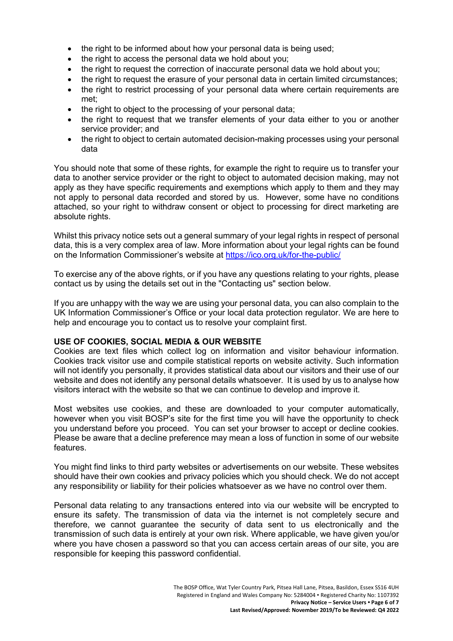- the right to be informed about how your personal data is being used:
- the right to access the personal data we hold about you;
- the right to request the correction of inaccurate personal data we hold about you;
- the right to request the erasure of your personal data in certain limited circumstances;
- the right to restrict processing of your personal data where certain requirements are met;
- the right to object to the processing of your personal data;
- the right to request that we transfer elements of your data either to you or another service provider; and
- the right to object to certain automated decision-making processes using your personal data

You should note that some of these rights, for example the right to require us to transfer your data to another service provider or the right to object to automated decision making, may not apply as they have specific requirements and exemptions which apply to them and they may not apply to personal data recorded and stored by us. However, some have no conditions attached, so your right to withdraw consent or object to processing for direct marketing are absolute rights.

Whilst this privacy notice sets out a general summary of your legal rights in respect of personal data, this is a very complex area of law. More information about your legal rights can be found on the Information Commissioner's website at <https://ico.org.uk/for-the-public/>

To exercise any of the above rights, or if you have any questions relating to your rights, please contact us by using the details set out in the "Contacting us" section below.

If you are unhappy with the way we are using your personal data, you can also complain to the UK Information Commissioner's Office or your local data protection regulator. We are here to help and encourage you to contact us to resolve your complaint first.

#### **USE OF COOKIES, SOCIAL MEDIA & OUR WEBSITE**

Cookies are text files which collect log on information and visitor behaviour information. Cookies track visitor use and compile statistical reports on website activity. Such information will not identify you personally, it provides statistical data about our visitors and their use of our website and does not identify any personal details whatsoever. It is used by us to analyse how visitors interact with the website so that we can continue to develop and improve it.

Most websites use cookies, and these are downloaded to your computer automatically, however when you visit BOSP's site for the first time you will have the opportunity to check you understand before you proceed. You can set your browser to accept or decline cookies. Please be aware that a decline preference may mean a loss of function in some of our website features.

You might find links to third party websites or advertisements on our website. These websites should have their own cookies and privacy policies which you should check. We do not accept any responsibility or liability for their policies whatsoever as we have no control over them.

Personal data relating to any transactions entered into via our website will be encrypted to ensure its safety. The transmission of data via the internet is not completely secure and therefore, we cannot guarantee the security of data sent to us electronically and the transmission of such data is entirely at your own risk. Where applicable, we have given you/or where you have chosen a password so that you can access certain areas of our site, you are responsible for keeping this password confidential.